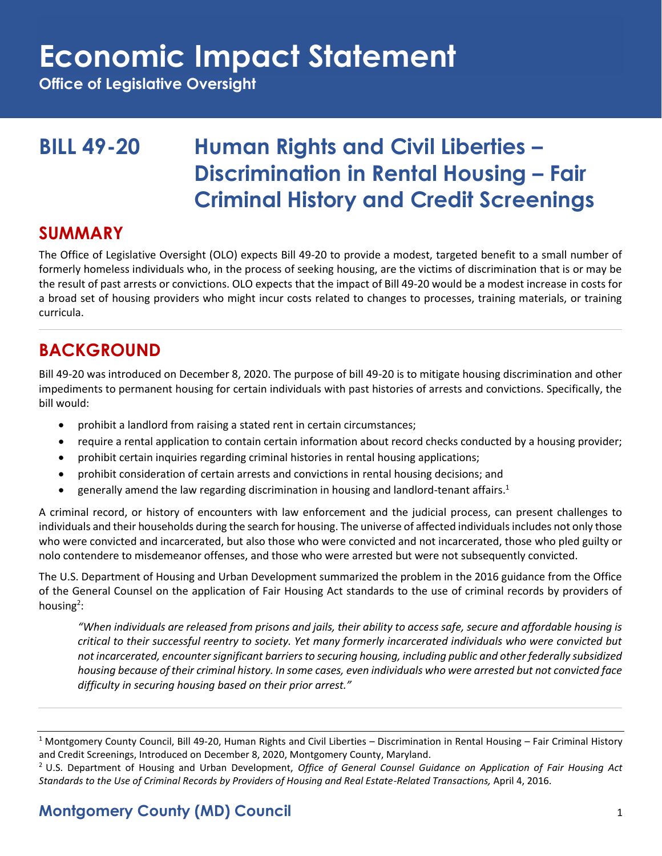**Office of Legislative Oversight**

### **BILL 49-20 Human Rights and Civil Liberties – Discrimination in Rental Housing - Fair Criminal History and Credit Screenings**

#### **SUMMARY**

The Office of Legislative Oversight (OLO) expects Bill 49-20 to provide a modest, targeted benefit to a small number of formerly homeless individuals who, in the process of seeking housing, are the victims of discrimination that is or may be the result of past arrests or convictions. OLO expects that the impact of Bill 49-20 would be a modest increase in costs for a broad set of housing providers who might incur costs related to changes to processes, training materials, or training curricula.

### **BACKGROUND**

Bill 49-20 was introduced on December 8, 2020. The purpose of bill 49-20 is to mitigate housing discrimination and other impediments to permanent housing for certain individuals with past histories of arrests and convictions. Specifically, the bill would:

- prohibit a landlord from raising a stated rent in certain circumstances;
- require a rental application to contain certain information about record checks conducted by a housing provider;
- prohibit certain inquiries regarding criminal histories in rental housing applications;
- prohibit consideration of certain arrests and convictions in rental housing decisions; and
- generally amend the law regarding discrimination in housing and landlord-tenant affairs.<sup>1</sup>

A criminal record, or history of encounters with law enforcement and the judicial process, can present challenges to individuals and their households during the search for housing. The universe of affected individuals includes not only those who were convicted and incarcerated, but also those who were convicted and not incarcerated, those who pled guilty or nolo contendere to misdemeanor offenses, and those who were arrested but were not subsequently convicted.

The U.S. Department of Housing and Urban Development summarized the problem in the 2016 guidance from the Office of the General Counsel on the application of Fair Housing Act standards to the use of criminal records by providers of housing<sup>2</sup>:

*"When individuals are released from prisons and jails, their ability to access safe, secure and affordable housing is critical to their successful reentry to society. Yet many formerly incarcerated individuals who were convicted but not incarcerated, encounter significant barriers to securing housing, including public and other federally subsidized housing because of their criminal history. In some cases, even individuals who were arrested but not convicted face difficulty in securing housing based on their prior arrest."* 

#### **Montgomery County (MD) Council** 1

<sup>&</sup>lt;sup>1</sup> Montgomery County Council, Bill 49-20, Human Rights and Civil Liberties – Discrimination in Rental Housing – Fair Criminal History and Credit Screenings, Introduced on December 8, 2020, Montgomery County, Maryland.

<sup>2</sup> U.S. Department of Housing and Urban Development, *Office of General Counsel Guidance on Application of Fair Housing Act Standards to the Use of Criminal Records by Providers of Housing and Real Estate-Related Transactions,* April 4, 2016.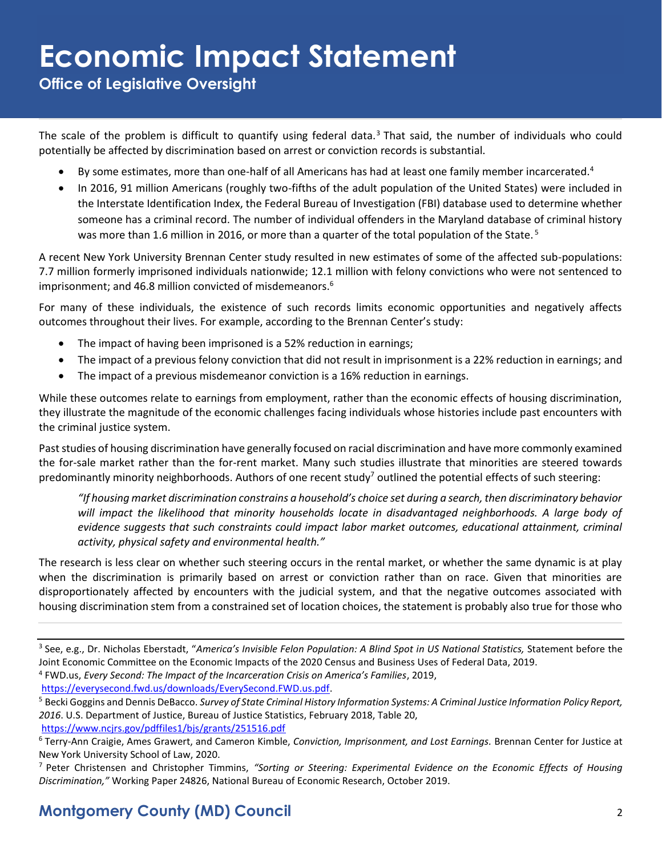**Office of Legislative Oversight**

The scale of the problem is difficult to quantify using federal data.<sup>3</sup> That said, the number of individuals who could potentially be affected by discrimination based on arrest or conviction records is substantial.

- By some estimates, more than one-half of all Americans has had at least one family member incarcerated.<sup>4</sup>
- In 2016, 91 million Americans (roughly two-fifths of the adult population of the United States) were included in the Interstate Identification Index, the Federal Bureau of Investigation (FBI) database used to determine whether someone has a criminal record. The number of individual offenders in the Maryland database of criminal history was more than 1.6 million in 2016, or more than a quarter of the total population of the State.<sup>5</sup>

A recent New York University Brennan Center study resulted in new estimates of some of the affected sub-populations: 7.7 million formerly imprisoned individuals nationwide; 12.1 million with felony convictions who were not sentenced to imprisonment; and 46.8 million convicted of misdemeanors.<sup>6</sup>

For many of these individuals, the existence of such records limits economic opportunities and negatively affects outcomes throughout their lives. For example, according to the Brennan Center's study:

- The impact of having been imprisoned is a 52% reduction in earnings;
- The impact of a previous felony conviction that did not result in imprisonment is a 22% reduction in earnings; and
- The impact of a previous misdemeanor conviction is a 16% reduction in earnings.

While these outcomes relate to earnings from employment, rather than the economic effects of housing discrimination, they illustrate the magnitude of the economic challenges facing individuals whose histories include past encounters with the criminal justice system.

Past studies of housing discrimination have generally focused on racial discrimination and have more commonly examined the for-sale market rather than the for-rent market. Many such studies illustrate that minorities are steered towards predominantly minority neighborhoods. Authors of one recent study<sup>7</sup> outlined the potential effects of such steering:

*"If housing market discrimination constrains a household's choice set during a search, then discriminatory behavior will impact the likelihood that minority households locate in disadvantaged neighborhoods. A large body of evidence suggests that such constraints could impact labor market outcomes, educational attainment, criminal activity, physical safety and environmental health."* 

The research is less clear on whether such steering occurs in the rental market, or whether the same dynamic is at play when the discrimination is primarily based on arrest or conviction rather than on race. Given that minorities are disproportionately affected by encounters with the judicial system, and that the negative outcomes associated with housing discrimination stem from a constrained set of location choices, the statement is probably also true for those who

<https://www.ncjrs.gov/pdffiles1/bjs/grants/251516.pdf>

<sup>3</sup> See, e.g., Dr. Nicholas Eberstadt, "*America's Invisible Felon Population: A Blind Spot in US National Statistics,* Statement before the Joint Economic Committee on the Economic Impacts of the 2020 Census and Business Uses of Federal Data, 2019.

<sup>4</sup> FWD.us, *Every Second: The Impact of the Incarceration Crisis on America's Families*, 2019, [https://everysecond.fwd.us/downloads/EverySecond.FWD.us.pdf.](https://everysecond.fwd.us/downloads/EverySecond.FWD.us.pdf)

<sup>5</sup> Becki Goggins and Dennis DeBacco. *Survey of State Criminal History Information Systems: A Criminal Justice Information Policy Report, 2016*. U.S. Department of Justice, Bureau of Justice Statistics, February 2018, Table 20,

<sup>6</sup> Terry-Ann Craigie, Ames Grawert, and Cameron Kimble, *Conviction, Imprisonment, and Lost Earnings.* Brennan Center for Justice at New York University School of Law, 2020.

<sup>7</sup> Peter Christensen and Christopher Timmins, *"Sorting or Steering: Experimental Evidence on the Economic Effects of Housing Discrimination,"* Working Paper 24826, National Bureau of Economic Research, October 2019.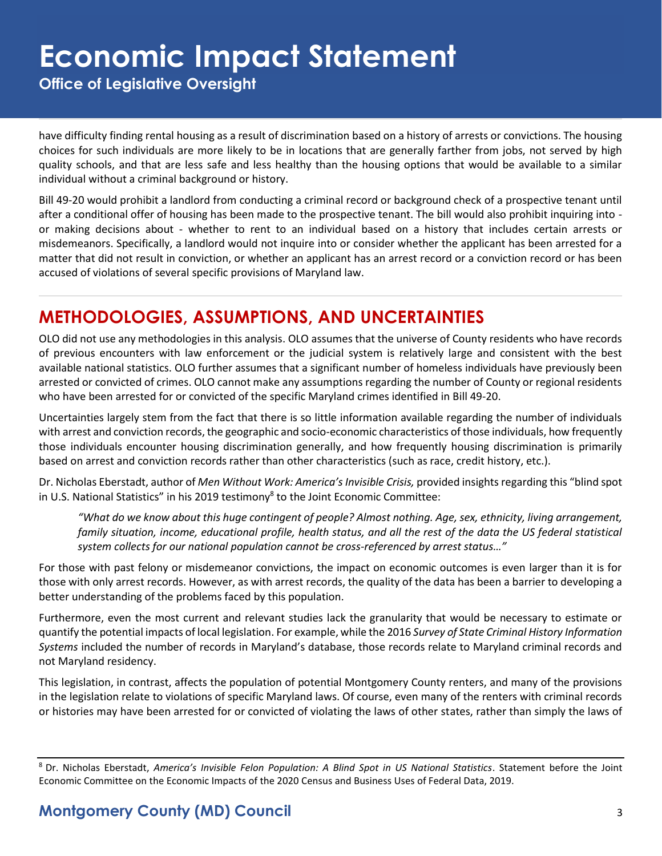**Office of Legislative Oversight**

have difficulty finding rental housing as a result of discrimination based on a history of arrests or convictions. The housing choices for such individuals are more likely to be in locations that are generally farther from jobs, not served by high quality schools, and that are less safe and less healthy than the housing options that would be available to a similar individual without a criminal background or history.

Bill 49-20 would prohibit a landlord from conducting a criminal record or background check of a prospective tenant until after a conditional offer of housing has been made to the prospective tenant. The bill would also prohibit inquiring into or making decisions about - whether to rent to an individual based on a history that includes certain arrests or misdemeanors. Specifically, a landlord would not inquire into or consider whether the applicant has been arrested for a matter that did not result in conviction, or whether an applicant has an arrest record or a conviction record or has been accused of violations of several specific provisions of Maryland law.

### **METHODOLOGIES, ASSUMPTIONS, AND UNCERTAINTIES**

OLO did not use any methodologies in this analysis. OLO assumes that the universe of County residents who have records of previous encounters with law enforcement or the judicial system is relatively large and consistent with the best available national statistics. OLO further assumes that a significant number of homeless individuals have previously been arrested or convicted of crimes. OLO cannot make any assumptions regarding the number of County or regional residents who have been arrested for or convicted of the specific Maryland crimes identified in Bill 49-20.

Uncertainties largely stem from the fact that there is so little information available regarding the number of individuals with arrest and conviction records, the geographic and socio-economic characteristics of those individuals, how frequently those individuals encounter housing discrimination generally, and how frequently housing discrimination is primarily based on arrest and conviction records rather than other characteristics (such as race, credit history, etc.).

Dr. Nicholas Eberstadt, author of *Men Without Work: America's Invisible Crisis,* provided insights regarding this "blind spot in U.S. National Statistics" in his 2019 testimony<sup>8</sup> to the Joint Economic Committee:

*"What do we know about this huge contingent of people? Almost nothing. Age, sex, ethnicity, living arrangement, family situation, income, educational profile, health status, and all the rest of the data the US federal statistical system collects for our national population cannot be cross-referenced by arrest status…"*

For those with past felony or misdemeanor convictions, the impact on economic outcomes is even larger than it is for those with only arrest records. However, as with arrest records, the quality of the data has been a barrier to developing a better understanding of the problems faced by this population.

Furthermore, even the most current and relevant studies lack the granularity that would be necessary to estimate or quantify the potential impacts of local legislation. For example, while the 2016 *Survey of State Criminal History Information Systems* included the number of records in Maryland's database, those records relate to Maryland criminal records and not Maryland residency.

This legislation, in contrast, affects the population of potential Montgomery County renters, and many of the provisions in the legislation relate to violations of specific Maryland laws. Of course, even many of the renters with criminal records or histories may have been arrested for or convicted of violating the laws of other states, rather than simply the laws of

#### **Montgomery County (MD) Council** 3

<sup>8</sup> Dr. Nicholas Eberstadt, *America's Invisible Felon Population: A Blind Spot in US National Statistics*. Statement before the Joint Economic Committee on the Economic Impacts of the 2020 Census and Business Uses of Federal Data, 2019.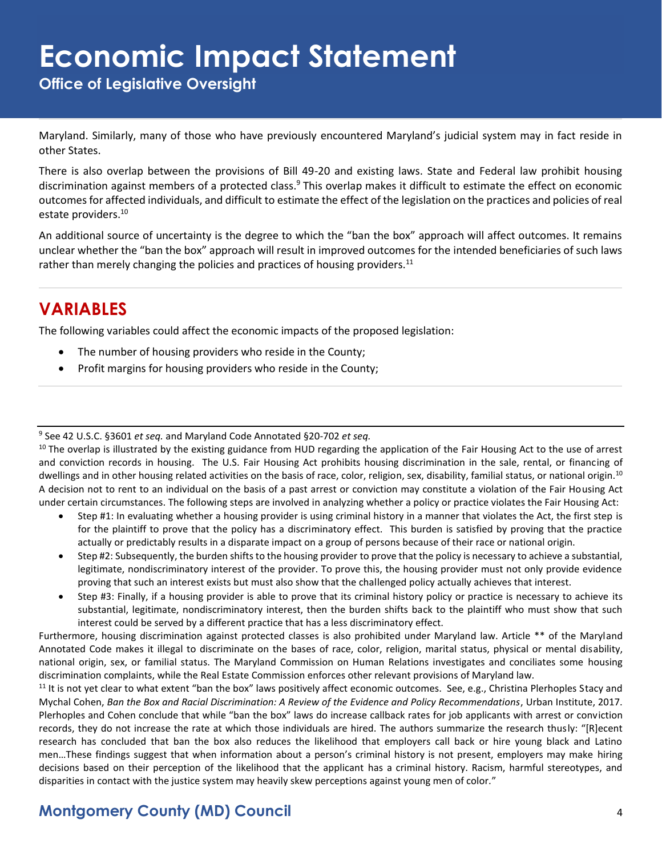**Office of Legislative Oversight**

Maryland. Similarly, many of those who have previously encountered Maryland's judicial system may in fact reside in other States.

There is also overlap between the provisions of Bill 49-20 and existing laws. State and Federal law prohibit housing discrimination against members of a protected class.<sup>9</sup> This overlap makes it difficult to estimate the effect on economic outcomes for affected individuals, and difficult to estimate the effect of the legislation on the practices and policies of real estate providers.<sup>10</sup>

An additional source of uncertainty is the degree to which the "ban the box" approach will affect outcomes. It remains unclear whether the "ban the box" approach will result in improved outcomes for the intended beneficiaries of such laws rather than merely changing the policies and practices of housing providers.<sup>11</sup>

### **VARIABLES**

The following variables could affect the economic impacts of the proposed legislation:

- The number of housing providers who reside in the County;
- Profit margins for housing providers who reside in the County;

9 See 42 U.S.C. §3601 *et seq.* and Maryland Code Annotated §20-702 *et seq.*

 $10$  The overlap is illustrated by the existing guidance from HUD regarding the application of the Fair Housing Act to the use of arrest and conviction records in housing. The U.S. Fair Housing Act prohibits housing discrimination in the sale, rental, or financing of dwellings and in other housing related activities on the basis of race, color, religion, sex, disability, familial status, or national origin.<sup>10</sup> A decision not to rent to an individual on the basis of a past arrest or conviction may constitute a violation of the Fair Housing Act under certain circumstances. The following steps are involved in analyzing whether a policy or practice violates the Fair Housing Act:

- Step #1: In evaluating whether a housing provider is using criminal history in a manner that violates the Act, the first step is for the plaintiff to prove that the policy has a discriminatory effect. This burden is satisfied by proving that the practice actually or predictably results in a disparate impact on a group of persons because of their race or national origin.
- Step #2: Subsequently, the burden shifts to the housing provider to prove that the policy is necessary to achieve a substantial, legitimate, nondiscriminatory interest of the provider. To prove this, the housing provider must not only provide evidence proving that such an interest exists but must also show that the challenged policy actually achieves that interest.
- Step #3: Finally, if a housing provider is able to prove that its criminal history policy or practice is necessary to achieve its substantial, legitimate, nondiscriminatory interest, then the burden shifts back to the plaintiff who must show that such interest could be served by a different practice that has a less discriminatory effect.

Furthermore, housing discrimination against protected classes is also prohibited under Maryland law. Article \*\* of the Maryland Annotated Code makes it illegal to discriminate on the bases of race, color, religion, marital status, physical or mental disability, national origin, sex, or familial status. The Maryland Commission on Human Relations investigates and conciliates some housing discrimination complaints, while the Real Estate Commission enforces other relevant provisions of Maryland law.

 $11$  It is not yet clear to what extent "ban the box" laws positively affect economic outcomes. See, e.g., Christina Plerhoples Stacy and Mychal Cohen, *Ban the Box and Racial Discrimination: A Review of the Evidence and Policy Recommendations*, Urban Institute, 2017. Plerhoples and Cohen conclude that while "ban the box" laws do increase callback rates for job applicants with arrest or conviction records, they do not increase the rate at which those individuals are hired. The authors summarize the research thusly: "[R]ecent research has concluded that ban the box also reduces the likelihood that employers call back or hire young black and Latino men…These findings suggest that when information about a person's criminal history is not present, employers may make hiring decisions based on their perception of the likelihood that the applicant has a criminal history. Racism, harmful stereotypes, and disparities in contact with the justice system may heavily skew perceptions against young men of color."

#### **Montgomery County (MD) Council** 4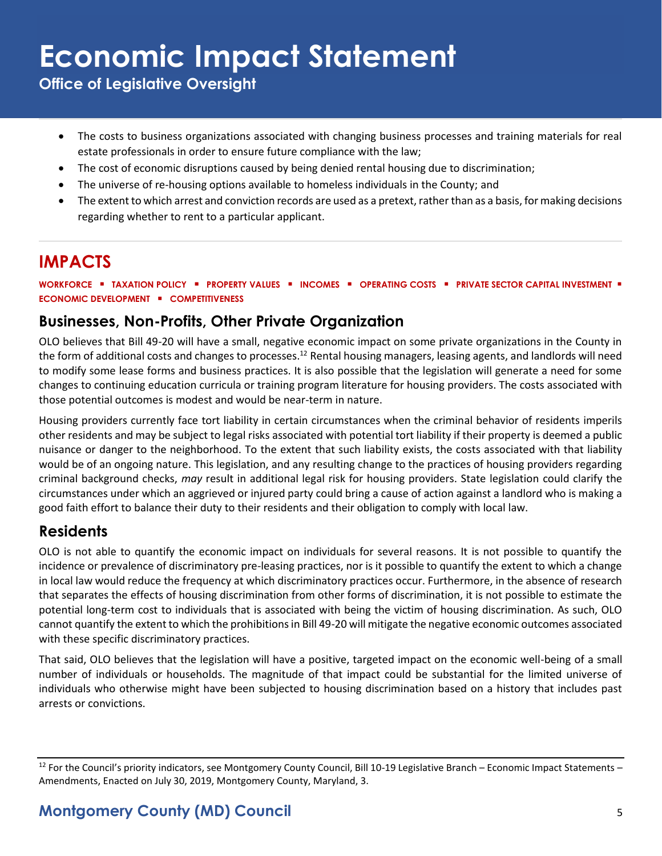**Office of Legislative Oversight**

- The costs to business organizations associated with changing business processes and training materials for real estate professionals in order to ensure future compliance with the law;
- The cost of economic disruptions caused by being denied rental housing due to discrimination;
- The universe of re-housing options available to homeless individuals in the County; and
- The extent to which arrest and conviction records are used as a pretext, rather than as a basis, for making decisions regarding whether to rent to a particular applicant.

### **IMPACTS**

**WORKFORCE** ▪ **TAXATION POLICY** ▪ **PROPERTY VALUES** ▪ **INCOMES** ▪ **OPERATING COSTS** ▪ **PRIVATE SECTOR CAPITAL INVESTMENT** ▪ **ECONOMIC DEVELOPMENT** ▪ **COMPETITIVENESS**

#### **Businesses, Non-Profits, Other Private Organization**

OLO believes that Bill 49-20 will have a small, negative economic impact on some private organizations in the County in the form of additional costs and changes to processes.<sup>12</sup> Rental housing managers, leasing agents, and landlords will need to modify some lease forms and business practices. It is also possible that the legislation will generate a need for some changes to continuing education curricula or training program literature for housing providers. The costs associated with those potential outcomes is modest and would be near-term in nature.

Housing providers currently face tort liability in certain circumstances when the criminal behavior of residents imperils other residents and may be subject to legal risks associated with potential tort liability if their property is deemed a public nuisance or danger to the neighborhood. To the extent that such liability exists, the costs associated with that liability would be of an ongoing nature. This legislation, and any resulting change to the practices of housing providers regarding criminal background checks, *may* result in additional legal risk for housing providers. State legislation could clarify the circumstances under which an aggrieved or injured party could bring a cause of action against a landlord who is making a good faith effort to balance their duty to their residents and their obligation to comply with local law.

#### **Residents**

OLO is not able to quantify the economic impact on individuals for several reasons. It is not possible to quantify the incidence or prevalence of discriminatory pre-leasing practices, nor is it possible to quantify the extent to which a change in local law would reduce the frequency at which discriminatory practices occur. Furthermore, in the absence of research that separates the effects of housing discrimination from other forms of discrimination, it is not possible to estimate the potential long-term cost to individuals that is associated with being the victim of housing discrimination. As such, OLO cannot quantify the extent to which the prohibitions in Bill 49-20 will mitigate the negative economic outcomes associated with these specific discriminatory practices.

That said, OLO believes that the legislation will have a positive, targeted impact on the economic well-being of a small number of individuals or households. The magnitude of that impact could be substantial for the limited universe of individuals who otherwise might have been subjected to housing discrimination based on a history that includes past arrests or convictions.

 $12$  For the Council's priority indicators, see Montgomery County Council, Bill 10-19 Legislative Branch – Economic Impact Statements – Amendments, Enacted on July 30, 2019, Montgomery County, Maryland, 3.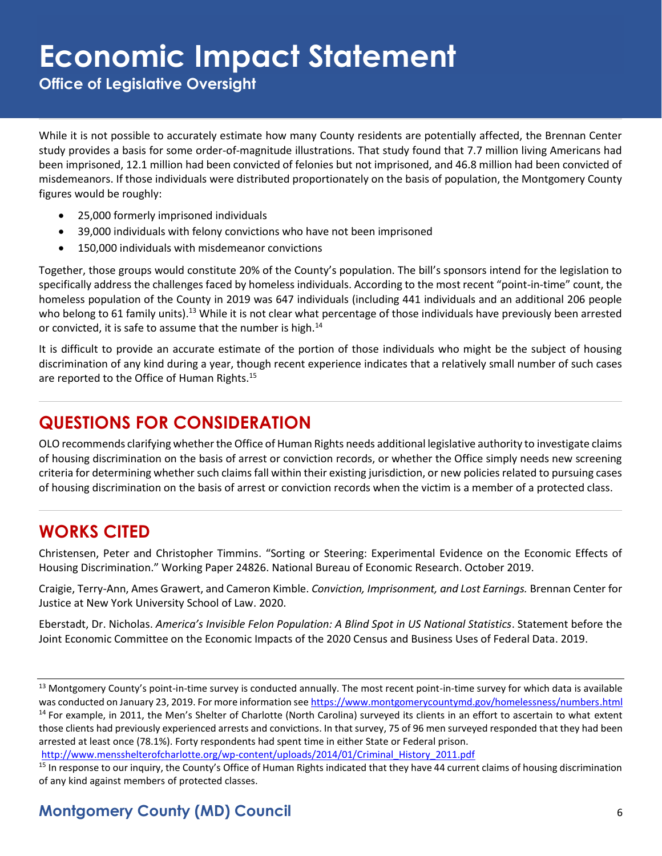**Office of Legislative Oversight**

While it is not possible to accurately estimate how many County residents are potentially affected, the Brennan Center study provides a basis for some order-of-magnitude illustrations. That study found that 7.7 million living Americans had been imprisoned, 12.1 million had been convicted of felonies but not imprisoned, and 46.8 million had been convicted of misdemeanors. If those individuals were distributed proportionately on the basis of population, the Montgomery County figures would be roughly:

- 25,000 formerly imprisoned individuals
- 39,000 individuals with felony convictions who have not been imprisoned
- 150,000 individuals with misdemeanor convictions

Together, those groups would constitute 20% of the County's population. The bill's sponsors intend for the legislation to specifically address the challenges faced by homeless individuals. According to the most recent "point-in-time" count, the homeless population of the County in 2019 was 647 individuals (including 441 individuals and an additional 206 people who belong to 61 family units).<sup>13</sup> While it is not clear what percentage of those individuals have previously been arrested or convicted, it is safe to assume that the number is high.<sup>14</sup>

It is difficult to provide an accurate estimate of the portion of those individuals who might be the subject of housing discrimination of any kind during a year, though recent experience indicates that a relatively small number of such cases are reported to the Office of Human Rights.<sup>15</sup>

### **QUESTIONS FOR CONSIDERATION**

OLO recommends clarifying whether the Office of Human Rights needs additional legislative authority to investigate claims of housing discrimination on the basis of arrest or conviction records, or whether the Office simply needs new screening criteria for determining whether such claims fall within their existing jurisdiction, or new policies related to pursuing cases of housing discrimination on the basis of arrest or conviction records when the victim is a member of a protected class.

#### **WORKS CITED**

Christensen, Peter and Christopher Timmins. "Sorting or Steering: Experimental Evidence on the Economic Effects of Housing Discrimination." Working Paper 24826. National Bureau of Economic Research. October 2019.

Craigie, Terry-Ann, Ames Grawert, and Cameron Kimble. *Conviction, Imprisonment, and Lost Earnings.* Brennan Center for Justice at New York University School of Law. 2020.

Eberstadt, Dr. Nicholas. *America's Invisible Felon Population: A Blind Spot in US National Statistics*. Statement before the Joint Economic Committee on the Economic Impacts of the 2020 Census and Business Uses of Federal Data. 2019.

[http://www.mensshelterofcharlotte.org/wp-content/uploads/2014/01/Criminal\\_History\\_2011.pdf](http://www.mensshelterofcharlotte.org/wp-content/uploads/2014/01/Criminal_History_2011.pdf)

<sup>13</sup> Montgomery County's point-in-time survey is conducted annually. The most recent point-in-time survey for which data is available was conducted on January 23, 2019. For more information se[e https://www.montgomerycountymd.gov/homelessness/numbers.html](https://www.montgomerycountymd.gov/homelessness/numbers.html) <sup>14</sup> For example, in 2011, the Men's Shelter of Charlotte (North Carolina) surveyed its clients in an effort to ascertain to what extent those clients had previously experienced arrests and convictions. In that survey, 75 of 96 men surveyed responded that they had been arrested at least once (78.1%). Forty respondents had spent time in either State or Federal prison.

<sup>&</sup>lt;sup>15</sup> In response to our inquiry, the County's Office of Human Rights indicated that they have 44 current claims of housing discrimination of any kind against members of protected classes.